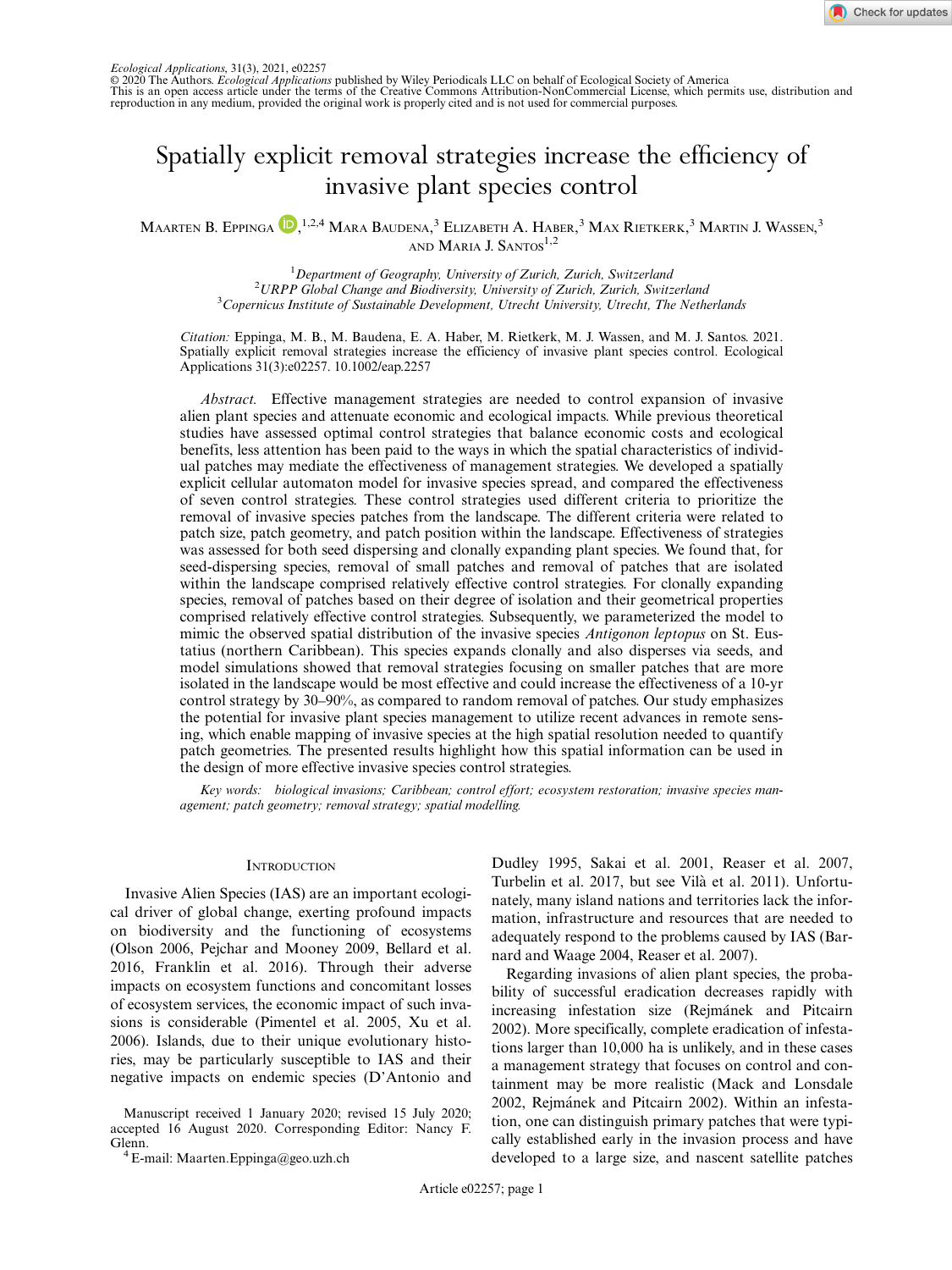

© 2020 The Authors. Ecological Applications published by Wiley Periodicals LLC on behalf of Ecological Society of America This is an open access article under the terms of the [Creative Commons Attribution-NonCommercial](http://creativecommons.org/licenses/by-nc/4.0/) License, which permits use, distribution and reproduction in any medium, provided the original work is properly cited and is not used for commercial purposes.

# Spatially explicit removal strategies increase the efficiency of

maarten B. Eppinga (D<sub>,</sub> 1,2,4 Mara Baudena, <sup>3</sup> Elizabeth [A](https://orcid.org/0000-0002-1954-6324). Haber, <sup>3</sup> Max Rietkerk, <sup>3</sup> Martin J. Wassen, <sup>3</sup> AND MARIA J. SANTOS<sup>1,2</sup>

> <sup>1</sup>Department of Geography, University of Zurich, Zurich, Switzerland  $\mu$  Department of Geography, University of Zurich, Zurich, Switzerland<br><sup>2</sup>UPPP Clabel Change and Piodiversity University of Zurich, Zurich, Switch <sup>2</sup>URPP Global Change and Biodiversity, University of Zurich, Zurich, Switzerland<br><sup>3</sup>Congruisus Institute of Sustainable Davelopment, Utracht University, Utrecht, The Noth  $3$ Copernicus Institute of Sustainable Development, Utrecht University, Utrecht, The Netherlands

Citation: Eppinga, M. B., M. Baudena, E. A. Haber, M. Rietkerk, M. J. Wassen, and M. J. Santos. 2021. Spatially explicit removal strategies increase the efficiency of invasive plant species control. Ecological Applications 31(3):e02257. [10.1002/eap.2257](info:doi/10.1002/eap.2257)

Abstract. Effective management strategies are needed to control expansion of invasive alien plant species and attenuate economic and ecological impacts. While previous theoretical studies have assessed optimal control strategies that balance economic costs and ecological benefits, less attention has been paid to the ways in which the spatial characteristics of individual patches may mediate the effectiveness of management strategies. We developed a spatially explicit cellular automaton model for invasive species spread, and compared the effectiveness of seven control strategies. These control strategies used different criteria to prioritize the removal of invasive species patches from the landscape. The different criteria were related to patch size, patch geometry, and patch position within the landscape. Effectiveness of strategies was assessed for both seed dispersing and clonally expanding plant species. We found that, for seed-dispersing species, removal of small patches and removal of patches that are isolated within the landscape comprised relatively effective control strategies. For clonally expanding species, removal of patches based on their degree of isolation and their geometrical properties comprised relatively effective control strategies. Subsequently, we parameterized the model to mimic the observed spatial distribution of the invasive species *Antigonon leptopus* on St. Eustatius (northern Caribbean). This species expands clonally and also disperses via seeds, and model simulations showed that removal strategies focusing on smaller patches that are more isolated in the landscape would be most effective and could increase the effectiveness of a 10-yr control strategy by 30–90%, as compared to random removal of patches. Our study emphasizes the potential for invasive plant species management to utilize recent advances in remote sensing, which enable mapping of invasive species at the high spatial resolution needed to quantify patch geometries. The presented results highlight how this spatial information can be used in the design of more effective invasive species control strategies.

Key words: biological invasions; Caribbean; control effort; ecosystem restoration; invasive species management; patch geometry; removal strategy; spatial modelling.

#### **INTRODUCTION**

Invasive Alien Species (IAS) are an important ecological driver of global change, exerting profound impacts on biodiversity and the functioning of ecosystems (Olson 2006, Pejchar and Mooney 2009, Bellard et al. 2016, Franklin et al. 2016). Through their adverse impacts on ecosystem functions and concomitant losses of ecosystem services, the economic impact of such invasions is considerable (Pimentel et al. 2005, Xu et al. 2006). Islands, due to their unique evolutionary histories, may be particularly susceptible to IAS and their negative impacts on endemic species (D'Antonio and

Manuscript received 1 January 2020; revised 15 July 2020; accepted 16 August 2020. Corresponding Editor: Nancy F.

Glenn. <sup>4</sup> E-mail: [Maarten.Eppinga@geo.uzh.ch](mailto:)

Dudley 1995, Sakai et al. 2001, Reaser et al. 2007, Turbelin et al. 2017, but see Vilà et al. 2011). Unfortunately, many island nations and territories lack the information, infrastructure and resources that are needed to adequately respond to the problems caused by IAS (Barnard and Waage 2004, Reaser et al. 2007).

Regarding invasions of alien plant species, the probability of successful eradication decreases rapidly with increasing infestation size (Rejmánek and Pitcairn 2002). More specifically, complete eradication of infestations larger than 10,000 ha is unlikely, and in these cases a management strategy that focuses on control and containment may be more realistic (Mack and Lonsdale 2002, Rejmánek and Pitcairn 2002). Within an infestation, one can distinguish primary patches that were typically established early in the invasion process and have developed to a large size, and nascent satellite patches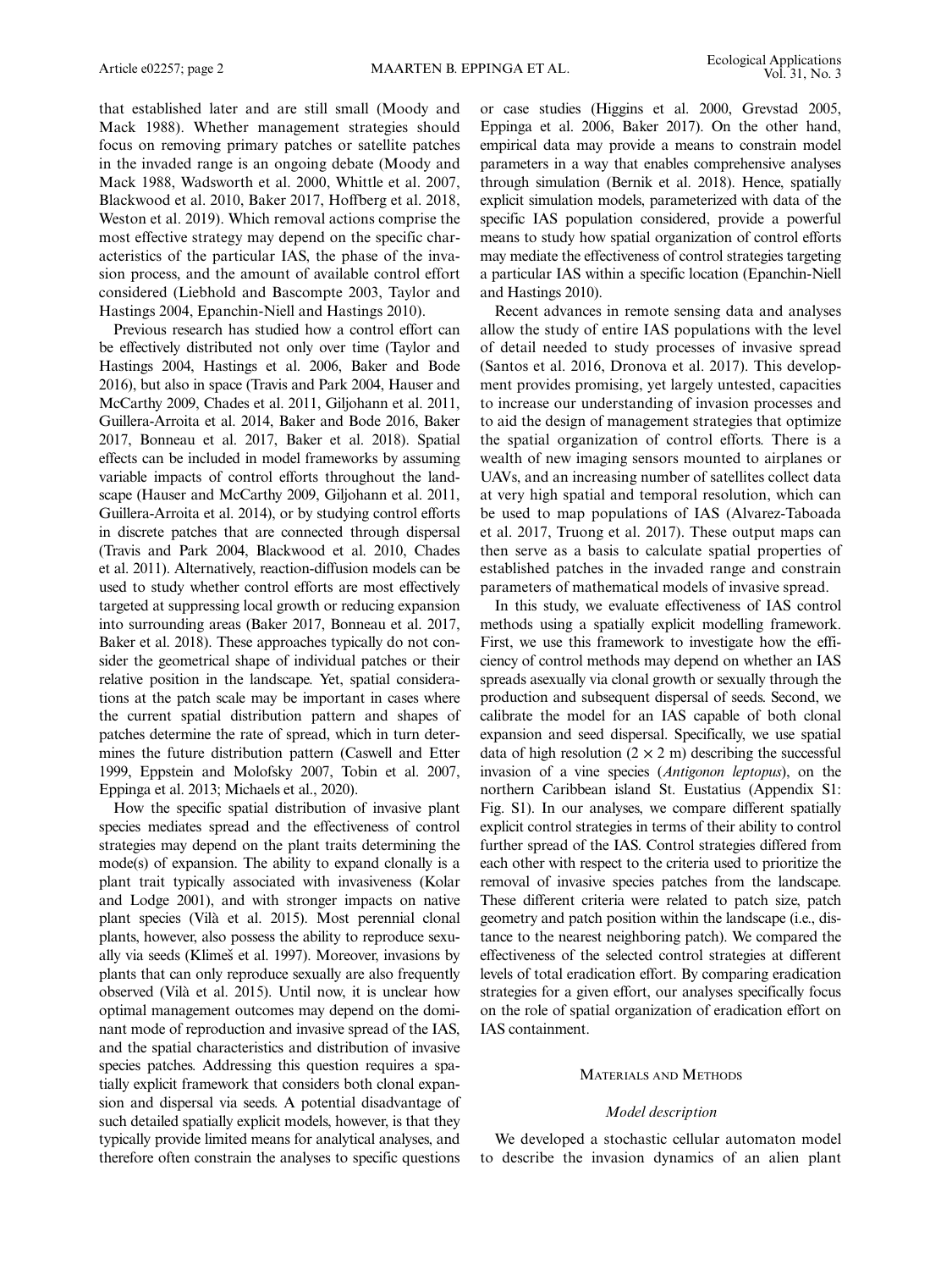that established later and are still small (Moody and Mack 1988). Whether management strategies should focus on removing primary patches or satellite patches in the invaded range is an ongoing debate (Moody and Mack 1988, Wadsworth et al. 2000, Whittle et al. 2007, Blackwood et al. 2010, Baker 2017, Hoffberg et al. 2018, Weston et al. 2019). Which removal actions comprise the most effective strategy may depend on the specific characteristics of the particular IAS, the phase of the invasion process, and the amount of available control effort considered (Liebhold and Bascompte 2003, Taylor and Hastings 2004, Epanchin-Niell and Hastings 2010).

Previous research has studied how a control effort can be effectively distributed not only over time (Taylor and Hastings 2004, Hastings et al. 2006, Baker and Bode 2016), but also in space (Travis and Park 2004, Hauser and McCarthy 2009, Chades et al. 2011, Giljohann et al. 2011, Guillera-Arroita et al. 2014, Baker and Bode 2016, Baker 2017, Bonneau et al. 2017, Baker et al. 2018). Spatial effects can be included in model frameworks by assuming variable impacts of control efforts throughout the landscape (Hauser and McCarthy 2009, Giljohann et al. 2011, Guillera-Arroita et al. 2014), or by studying control efforts in discrete patches that are connected through dispersal (Travis and Park 2004, Blackwood et al. 2010, Chades et al. 2011). Alternatively, reaction-diffusion models can be used to study whether control efforts are most effectively targeted at suppressing local growth or reducing expansion into surrounding areas (Baker 2017, Bonneau et al. 2017, Baker et al. 2018). These approaches typically do not consider the geometrical shape of individual patches or their relative position in the landscape. Yet, spatial considerations at the patch scale may be important in cases where the current spatial distribution pattern and shapes of patches determine the rate of spread, which in turn determines the future distribution pattern (Caswell and Etter 1999, Eppstein and Molofsky 2007, Tobin et al. 2007, Eppinga et al. 2013; Michaels et al., 2020).

How the specific spatial distribution of invasive plant species mediates spread and the effectiveness of control strategies may depend on the plant traits determining the mode(s) of expansion. The ability to expand clonally is a plant trait typically associated with invasiveness (Kolar and Lodge 2001), and with stronger impacts on native plant species (Vila et al. 2015). Most perennial clonal ` plants, however, also possess the ability to reproduce sexually via seeds (Klimeš et al. 1997). Moreover, invasions by plants that can only reproduce sexually are also frequently observed (Vila et al. 2015). Until now, it is unclear how ` optimal management outcomes may depend on the dominant mode of reproduction and invasive spread of the IAS, and the spatial characteristics and distribution of invasive species patches. Addressing this question requires a spatially explicit framework that considers both clonal expansion and dispersal via seeds. A potential disadvantage of such detailed spatially explicit models, however, is that they typically provide limited means for analytical analyses, and therefore often constrain the analyses to specific questions

or case studies (Higgins et al. 2000, Grevstad 2005, Eppinga et al. 2006, Baker 2017). On the other hand, empirical data may provide a means to constrain model parameters in a way that enables comprehensive analyses through simulation (Bernik et al. 2018). Hence, spatially explicit simulation models, parameterized with data of the specific IAS population considered, provide a powerful means to study how spatial organization of control efforts may mediate the effectiveness of control strategies targeting a particular IAS within a specific location (Epanchin-Niell and Hastings 2010).

Recent advances in remote sensing data and analyses allow the study of entire IAS populations with the level of detail needed to study processes of invasive spread (Santos et al. 2016, Dronova et al. 2017). This development provides promising, yet largely untested, capacities to increase our understanding of invasion processes and to aid the design of management strategies that optimize the spatial organization of control efforts. There is a wealth of new imaging sensors mounted to airplanes or UAVs, and an increasing number of satellites collect data at very high spatial and temporal resolution, which can be used to map populations of IAS (Alvarez-Taboada et al. 2017, Truong et al. 2017). These output maps can then serve as a basis to calculate spatial properties of established patches in the invaded range and constrain parameters of mathematical models of invasive spread.

In this study, we evaluate effectiveness of IAS control methods using a spatially explicit modelling framework. First, we use this framework to investigate how the efficiency of control methods may depend on whether an IAS spreads asexually via clonal growth or sexually through the production and subsequent dispersal of seeds. Second, we calibrate the model for an IAS capable of both clonal expansion and seed dispersal. Specifically, we use spatial data of high resolution  $(2 \times 2 \text{ m})$  describing the successful invasion of a vine species (Antigonon leptopus), on the northern Caribbean island St. Eustatius (Appendix S1: Fig. S1). In our analyses, we compare different spatially explicit control strategies in terms of their ability to control further spread of the IAS. Control strategies differed from each other with respect to the criteria used to prioritize the removal of invasive species patches from the landscape. These different criteria were related to patch size, patch geometry and patch position within the landscape (i.e., distance to the nearest neighboring patch). We compared the effectiveness of the selected control strategies at different levels of total eradication effort. By comparing eradication strategies for a given effort, our analyses specifically focus on the role of spatial organization of eradication effort on IAS containment.

## MATERIALS AND METHODS

## Model description

We developed a stochastic cellular automaton model to describe the invasion dynamics of an alien plant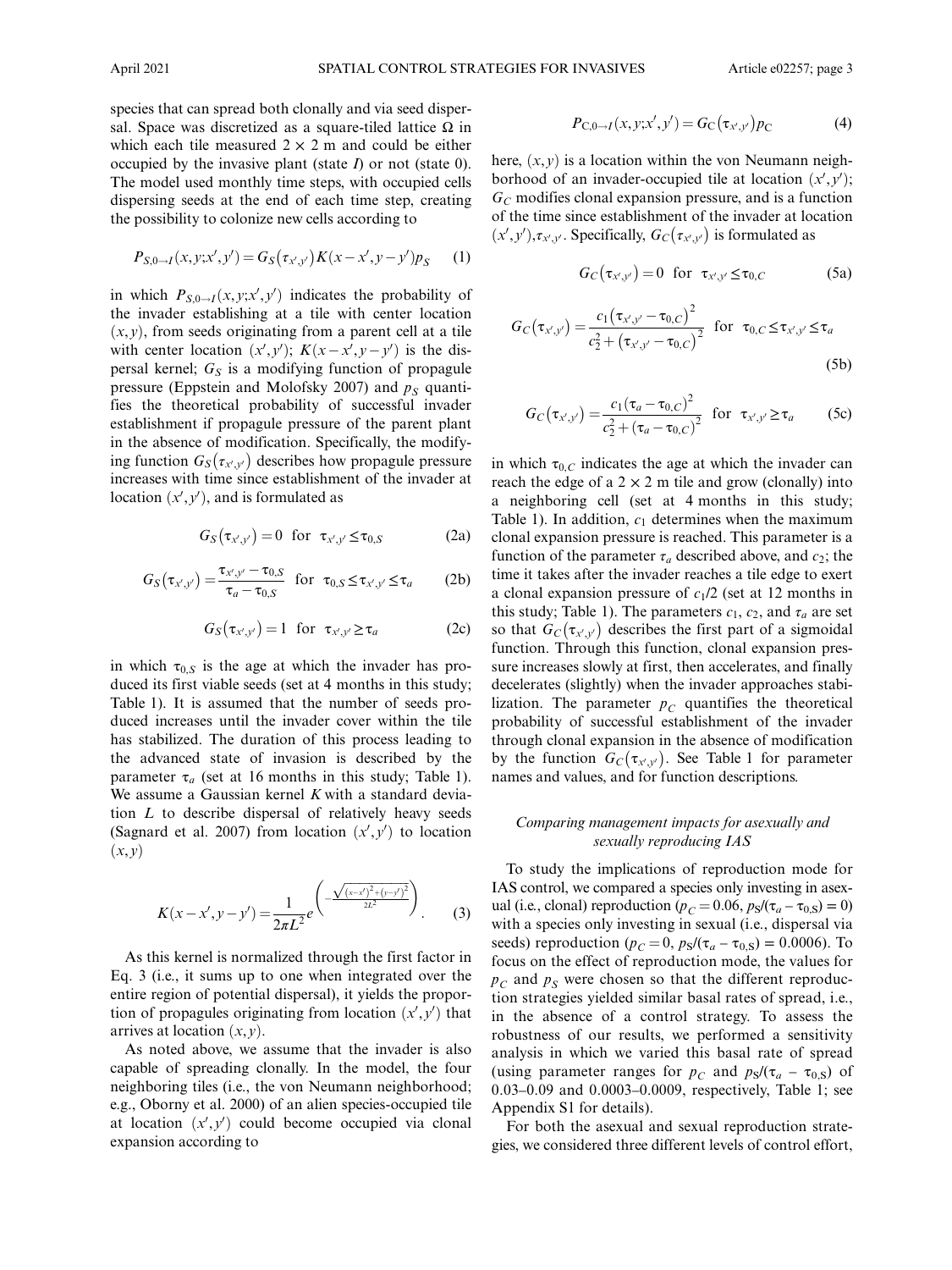species that can spread both clonally and via seed dispersal. Space was discretized as a square-tiled lattice  $\Omega$  in which each tile measured  $2 \times 2$  m and could be either occupied by the invasive plant (state  $I$ ) or not (state 0). The model used monthly time steps, with occupied cells dispersing seeds at the end of each time step, creating the possibility to colonize new cells according to

$$
P_{S,0 \to I}(x, y; x', y') = G_S(\tau_{x',y'}) K(x - x', y - y') p_S \tag{1}
$$

in which  $P_{S,0\rightarrow I}(x, y; x', y')$  indicates the probability of the invader establishing at a tile with center location  $(x, y)$ , from seeds originating from a parent cell at a tile with center location  $(x', y')$ ;  $K(x - x', y - y')$  is the dispersal kernel;  $G<sub>S</sub>$  is a modifying function of propagule pressure (Eppstein and Molofsky 2007) and  $p<sub>S</sub>$  quantifies the theoretical probability of successful invader establishment if propagule pressure of the parent plant in the absence of modification. Specifically, the modifying function  $G_S(\tau_{x',y'})$  describes how propagule pressure increases with time since establishment of the invader at location  $(x', y')$ , and is formulated as

$$
G_S(\tau_{x',y'}) = 0 \quad \text{for} \quad \tau_{x',y'} \le \tau_{0,S} \tag{2a}
$$

$$
G_S(\tau_{x',y'}) = \frac{\tau_{x',y'} - \tau_{0,S}}{\tau_a - \tau_{0,S}} \quad \text{for} \quad \tau_{0,S} \le \tau_{x',y'} \le \tau_a \tag{2b}
$$

$$
G_S(\tau_{x',y'}) = 1 \quad \text{for} \quad \tau_{x',y'} \ge \tau_a \tag{2c}
$$

in which  $\tau_{0,S}$  is the age at which the invader has produced its first viable seeds (set at 4 months in this study; Table 1). It is assumed that the number of seeds produced increases until the invader cover within the tile has stabilized. The duration of this process leading to the advanced state of invasion is described by the parameter  $\tau_a$  (set at 16 months in this study; Table 1). We assume a Gaussian kernel  $K$  with a standard deviation  $L$  to describe dispersal of relatively heavy seeds (Sagnard et al. 2007) from location  $(x', y')$  to location  $(x, y)$ 

$$
K(x - x', y - y') = \frac{1}{2\pi L^2} e^{-\frac{\sqrt{(x - x')^2 + (y - y')^2}}{2L^2}}
$$
 (3)

As this kernel is normalized through the first factor in Eq. 3 (i.e., it sums up to one when integrated over the entire region of potential dispersal), it yields the proportion of propagules originating from location  $(x', y')$  that arrives at location  $(x, y)$ .

As noted above, we assume that the invader is also capable of spreading clonally. In the model, the four neighboring tiles (i.e., the von Neumann neighborhood; e.g., Oborny et al. 2000) of an alien species-occupied tile at location  $(x', y')$  could become occupied via clonal expansion according to

$$
P_{C,0 \to I}(x, y; x', y') = G_{C}(\tau_{x',y'}) p_{C}
$$
 (4)

here,  $(x, y)$  is a location within the von Neumann neighborhood of an invader-occupied tile at location  $(x', y')$ ;  $G<sub>C</sub>$  modifies clonal expansion pressure, and is a function of the time since establishment of the invader at location  $(x', y'), \tau_{x', y'}$ . Specifically,  $G_C(\tau_{x', y'})$  is formulated as

$$
G_C(\tau_{x',y'}) = 0 \quad \text{for} \quad \tau_{x',y'} \leq \tau_{0,C} \tag{5a}
$$

$$
G_C(\tau_{x',y'}) = \frac{c_1(\tau_{x',y'} - \tau_{0,C})^2}{c_2^2 + (\tau_{x',y'} - \tau_{0,C})^2} \text{ for } \tau_{0,C} \le \tau_{x',y'} \le \tau_a
$$
\n(5b)

$$
G_C(\tau_{x',y'}) = \frac{c_1(\tau_a - \tau_{0,C})^2}{c_2^2 + (\tau_a - \tau_{0,C})^2}
$$
 for  $\tau_{x',y'} \ge \tau_a$  (5c)

in which  $\tau_{0,C}$  indicates the age at which the invader can reach the edge of a  $2 \times 2$  m tile and grow (clonally) into a neighboring cell (set at 4 months in this study; Table 1). In addition,  $c_1$  determines when the maximum clonal expansion pressure is reached. This parameter is a function of the parameter  $\tau_a$  described above, and  $c_2$ ; the time it takes after the invader reaches a tile edge to exert a clonal expansion pressure of  $c_1/2$  (set at 12 months in this study; Table 1). The parameters  $c_1$ ,  $c_2$ , and  $\tau_a$  are set so that  $G_C(\tau_{x',y'})$  describes the first part of a sigmoidal function. Through this function, clonal expansion pressure increases slowly at first, then accelerates, and finally decelerates (slightly) when the invader approaches stabilization. The parameter  $p<sub>C</sub>$  quantifies the theoretical probability of successful establishment of the invader through clonal expansion in the absence of modification by the function  $G_C(\tau_{x',y'})$ . See Table 1 for parameter names and values, and for function descriptions.

## Comparing management impacts for asexually and sexually reproducing IAS

To study the implications of reproduction mode for IAS control, we compared a species only investing in asexual (i.e., clonal) reproduction ( $p_C = 0.06$ ,  $p_S/(\tau_a - \tau_{0,S}) = 0$ ) with a species only investing in sexual (i.e., dispersal via seeds) reproduction ( $p_C = 0$ ,  $p_S/(\tau_a - \tau_{0,S}) = 0.0006$ ). To focus on the effect of reproduction mode, the values for  $p<sub>C</sub>$  and  $p<sub>S</sub>$  were chosen so that the different reproduction strategies yielded similar basal rates of spread, i.e., in the absence of a control strategy. To assess the robustness of our results, we performed a sensitivity analysis in which we varied this basal rate of spread (using parameter ranges for  $p_C$  and  $p_S/(\tau_a - \tau_{0,S})$  of 0.03–0.09 and 0.0003–0.0009, respectively, Table 1; see Appendix S1 for details).

For both the asexual and sexual reproduction strategies, we considered three different levels of control effort,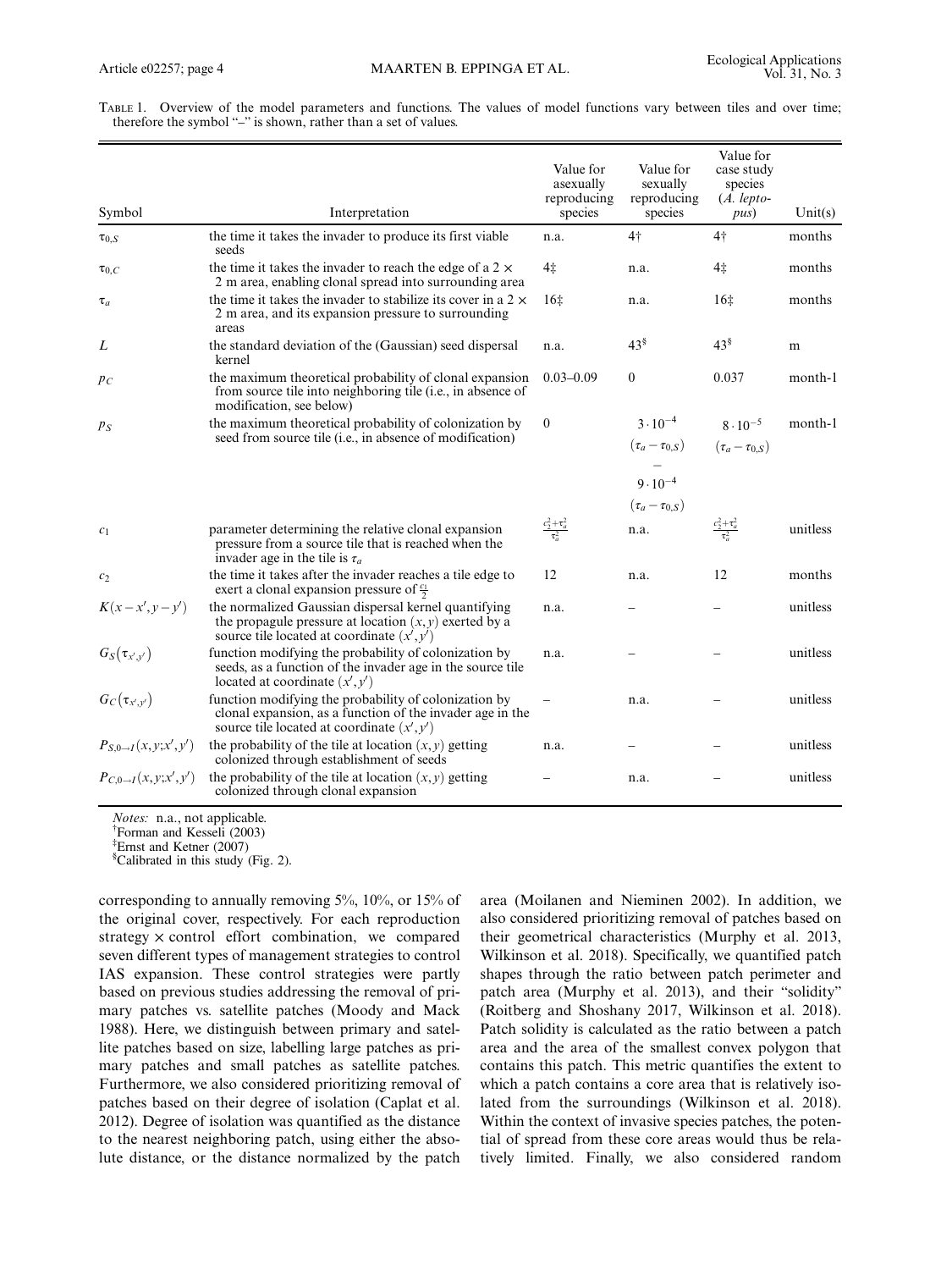TABLE 1. Overview of the model parameters and functions. The values of model functions vary between tiles and over time; therefore the symbol "–" is shown, rather than a set of values.

| Symbol                       | Interpretation                                                                                                                                                     | Value for<br>asexually<br>reproducing<br>species | Value for<br>sexually<br>reproducing<br>species | Value for<br>case study<br>species<br>(A. lepto<br>pus) | Unit(s)  |
|------------------------------|--------------------------------------------------------------------------------------------------------------------------------------------------------------------|--------------------------------------------------|-------------------------------------------------|---------------------------------------------------------|----------|
| $\tau_{0,S}$                 | the time it takes the invader to produce its first viable                                                                                                          | n.a.                                             | 4†                                              | $4+$                                                    | months   |
|                              | seeds                                                                                                                                                              |                                                  |                                                 |                                                         |          |
| $\tau_{0,C}$                 | the time it takes the invader to reach the edge of a $2 \times$<br>2 m area, enabling clonal spread into surrounding area                                          | 4 <sub>‡</sub>                                   | n.a.                                            | 4‡                                                      | months   |
| $\tau_a$                     | the time it takes the invader to stabilize its cover in a $2 \times$<br>2 m area, and its expansion pressure to surrounding<br>areas                               | 16 <sup>±</sup>                                  | n.a.                                            | 16 <sup>±</sup>                                         | months   |
| L                            | the standard deviation of the (Gaussian) seed dispersal<br>kernel                                                                                                  | n.a.                                             | $43^{\frac{8}{3}}$                              | $43^{\frac{8}{3}}$                                      | m        |
| $p_C$                        | the maximum theoretical probability of clonal expansion<br>from source tile into neighboring tile (i.e., in absence of<br>modification, see below)                 | $0.03 - 0.09$                                    | $\theta$                                        | 0.037                                                   | month-1  |
| $p_S$                        | the maximum theoretical probability of colonization by<br>seed from source tile ( <i>i.e.</i> , in absence of modification)                                        | $\overline{0}$                                   | $3 \cdot 10^{-4}$                               | $8 \cdot 10^{-5}$                                       | month-1  |
|                              |                                                                                                                                                                    |                                                  | $(\tau_a-\tau_{0,S})$                           | $(\tau_a-\tau_{0.S})$                                   |          |
|                              |                                                                                                                                                                    |                                                  |                                                 |                                                         |          |
|                              |                                                                                                                                                                    |                                                  | $9 \cdot 10^{-4}$                               |                                                         |          |
|                              |                                                                                                                                                                    |                                                  | $(\tau_a-\tau_{0,S})$                           |                                                         |          |
| c <sub>1</sub>               | parameter determining the relative clonal expansion<br>pressure from a source tile that is reached when the<br>invader age in the tile is $\tau_a$                 | $\frac{c_2^2 + \tau_a^2}{\tau_a^2}$              | n.a.                                            | $\frac{c_2^2 + \tau_a^2}{\tau_a^2}$                     | unitless |
| c <sub>2</sub>               | the time it takes after the invader reaches a tile edge to<br>exert a clonal expansion pressure of $\frac{c_1}{2}$                                                 | 12                                               | n.a.                                            | 12                                                      | months   |
| $K(x-x',y-y')$               | the normalized Gaussian dispersal kernel quantifying<br>the propagule pressure at location $(x, y)$ exerted by a<br>source tile located at coordinate $(x', y')$   | n.a.                                             |                                                 |                                                         | unitless |
| $G_S(\tau_{x',y'})$          | function modifying the probability of colonization by<br>seeds, as a function of the invader age in the source tile<br>located at coordinate $(x', y')$            | n.a.                                             |                                                 |                                                         | unitless |
| $G_C(\tau_{x',y'})$          | function modifying the probability of colonization by<br>clonal expansion, as a function of the invader age in the<br>source tile located at coordinate $(x', y')$ |                                                  | n.a.                                            |                                                         | unitless |
| $P_{S,0\to I}(x,y;x',y')$    | the probability of the tile at location $(x, y)$ getting<br>colonized through establishment of seeds                                                               | n.a.                                             |                                                 |                                                         | unitless |
| $P_{C,0\to I}(x, y; x', y')$ | the probability of the tile at location $(x, y)$ getting<br>colonized through clonal expansion                                                                     |                                                  | n.a.                                            |                                                         | unitless |

Notes: n.a., not applicable.

Forman and Kesseli (2003)

‡ Ernst and Ketner (2007)

Scalibrated in this study (Fig. 2).

corresponding to annually removing 5%, 10%, or 15% of the original cover, respectively. For each reproduction strategy × control effort combination, we compared seven different types of management strategies to control IAS expansion. These control strategies were partly based on previous studies addressing the removal of primary patches vs. satellite patches (Moody and Mack 1988). Here, we distinguish between primary and satellite patches based on size, labelling large patches as primary patches and small patches as satellite patches. Furthermore, we also considered prioritizing removal of patches based on their degree of isolation (Caplat et al. 2012). Degree of isolation was quantified as the distance to the nearest neighboring patch, using either the absolute distance, or the distance normalized by the patch

area (Moilanen and Nieminen 2002). In addition, we also considered prioritizing removal of patches based on their geometrical characteristics (Murphy et al. 2013, Wilkinson et al. 2018). Specifically, we quantified patch shapes through the ratio between patch perimeter and patch area (Murphy et al. 2013), and their "solidity" (Roitberg and Shoshany 2017, Wilkinson et al. 2018). Patch solidity is calculated as the ratio between a patch area and the area of the smallest convex polygon that contains this patch. This metric quantifies the extent to which a patch contains a core area that is relatively isolated from the surroundings (Wilkinson et al. 2018). Within the context of invasive species patches, the potential of spread from these core areas would thus be relatively limited. Finally, we also considered random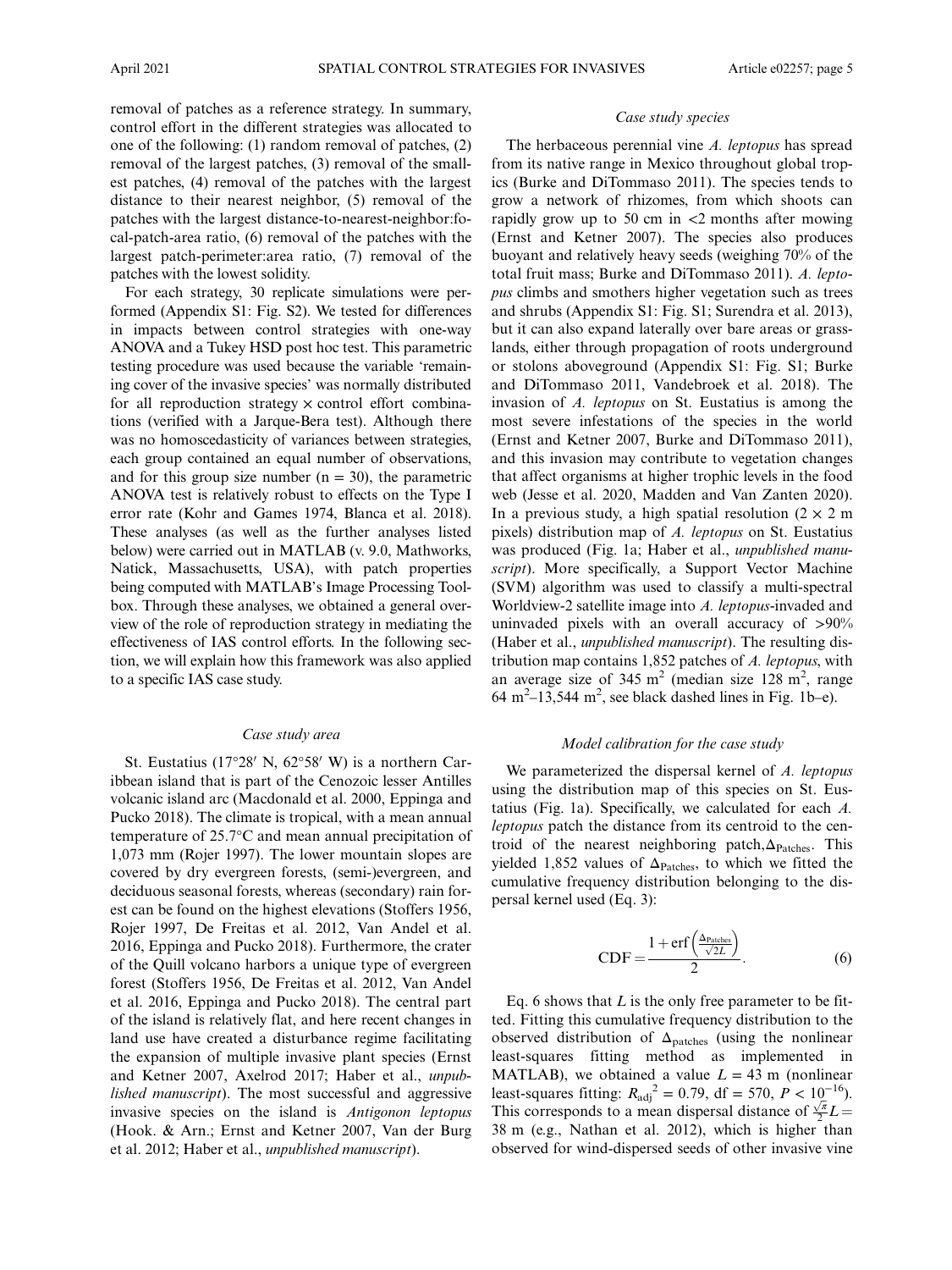removal of patches as a reference strategy. In summary, control effort in the different strategies was allocated to one of the following: (1) random removal of patches, (2) removal of the largest patches, (3) removal of the smallest patches, (4) removal of the patches with the largest distance to their nearest neighbor, (5) removal of the patches with the largest distance-to-nearest-neighbor:focal-patch-area ratio, (6) removal of the patches with the largest patch-perimeter:area ratio, (7) removal of the patches with the lowest solidity.

For each strategy, 30 replicate simulations were performed (Appendix S1: Fig. S2). We tested for differences in impacts between control strategies with one-way ANOVA and a Tukey HSD post hoc test. This parametric testing procedure was used because the variable 'remaining cover of the invasive species' was normally distributed for all reproduction strategy  $\times$  control effort combinations (verified with a Jarque-Bera test). Although there was no homoscedasticity of variances between strategies, each group contained an equal number of observations, and for this group size number  $(n = 30)$ , the parametric ANOVA test is relatively robust to effects on the Type I error rate (Kohr and Games 1974, Blanca et al. 2018). These analyses (as well as the further analyses listed below) were carried out in MATLAB (v. 9.0, Mathworks, Natick, Massachusetts, USA), with patch properties being computed with MATLAB's Image Processing Toolbox. Through these analyses, we obtained a general overview of the role of reproduction strategy in mediating the effectiveness of IAS control efforts. In the following section, we will explain how this framework was also applied to a specific IAS case study.

## Case study area

St. Eustatius (17°28′ N,  $62°58'$  W) is a northern Caribbean island that is part of the Cenozoic lesser Antilles volcanic island arc (Macdonald et al. 2000, Eppinga and Pucko 2018). The climate is tropical, with a mean annual temperature of 25.7°C and mean annual precipitation of 1,073 mm (Rojer 1997). The lower mountain slopes are covered by dry evergreen forests, (semi-)evergreen, and deciduous seasonal forests, whereas (secondary) rain forest can be found on the highest elevations (Stoffers 1956, Rojer 1997, De Freitas et al. 2012, Van Andel et al. 2016, Eppinga and Pucko 2018). Furthermore, the crater of the Quill volcano harbors a unique type of evergreen forest (Stoffers 1956, De Freitas et al. 2012, Van Andel et al. 2016, Eppinga and Pucko 2018). The central part of the island is relatively flat, and here recent changes in land use have created a disturbance regime facilitating the expansion of multiple invasive plant species (Ernst and Ketner 2007, Axelrod 2017; Haber et al., unpublished manuscript). The most successful and aggressive invasive species on the island is Antigonon leptopus (Hook. & Arn.; Ernst and Ketner 2007, Van der Burg et al. 2012; Haber et al., unpublished manuscript).

#### Case study species

The herbaceous perennial vine A. leptopus has spread from its native range in Mexico throughout global tropics (Burke and DiTommaso 2011). The species tends to grow a network of rhizomes, from which shoots can rapidly grow up to 50 cm in  $\lt$ 2 months after mowing (Ernst and Ketner 2007). The species also produces buoyant and relatively heavy seeds (weighing 70% of the total fruit mass; Burke and DiTommaso 2011). A. leptopus climbs and smothers higher vegetation such as trees and shrubs (Appendix S1: Fig. S1; Surendra et al. 2013), but it can also expand laterally over bare areas or grasslands, either through propagation of roots underground or stolons aboveground (Appendix S1: Fig. S1; Burke and DiTommaso 2011, Vandebroek et al. 2018). The invasion of A. leptopus on St. Eustatius is among the most severe infestations of the species in the world (Ernst and Ketner 2007, Burke and DiTommaso 2011), and this invasion may contribute to vegetation changes that affect organisms at higher trophic levels in the food web (Jesse et al. 2020, Madden and Van Zanten 2020). In a previous study, a high spatial resolution  $(2 \times 2 \text{ m})$ pixels) distribution map of A. leptopus on St. Eustatius was produced (Fig. 1a; Haber et al., unpublished manuscript). More specifically, a Support Vector Machine (SVM) algorithm was used to classify a multi-spectral Worldview-2 satellite image into A. leptopus-invaded and uninvaded pixels with an overall accuracy of >90% (Haber et al., unpublished manuscript). The resulting distribution map contains 1,852 patches of A. leptopus, with an average size of  $345 \text{ m}^2$  (median size  $128 \text{ m}^2$ , range  $64 \text{ m}^2$ -13,544 m<sup>2</sup>, see black dashed lines in Fig. 1b-e).

## Model calibration for the case study

We parameterized the dispersal kernel of A. leptopus using the distribution map of this species on St. Eustatius (Fig. 1a). Specifically, we calculated for each A. leptopus patch the distance from its centroid to the centroid of the nearest neighboring patch, $\Delta_{\text{Patches}}$ . This yielded 1,852 values of  $\Delta_{\text{Patches}}$ , to which we fitted the cumulative frequency distribution belonging to the dispersal kernel used (Eq. 3):

$$
CDF = \frac{1 + erf\left(\frac{\Delta_{\text{Patches}}}{\sqrt{2}L}\right)}{2}.
$$
 (6)

Eq. 6 shows that  $L$  is the only free parameter to be fitted. Fitting this cumulative frequency distribution to the observed distribution of  $\Delta_{\text{patches}}$  (using the nonlinear least-squares fitting method as implemented in MATLAB), we obtained a value  $L = 43$  m (nonlinear least-squares fitting:  $R_{\text{adj}}^2 = 0.79$ , df = 570,  $P < 10^{-16}$ ). This corresponds to a mean dispersal distance of  $\frac{\sqrt{\pi}}{2}L =$ 38 m (e.g., Nathan et al. 2012), which is higher than observed for wind-dispersed seeds of other invasive vine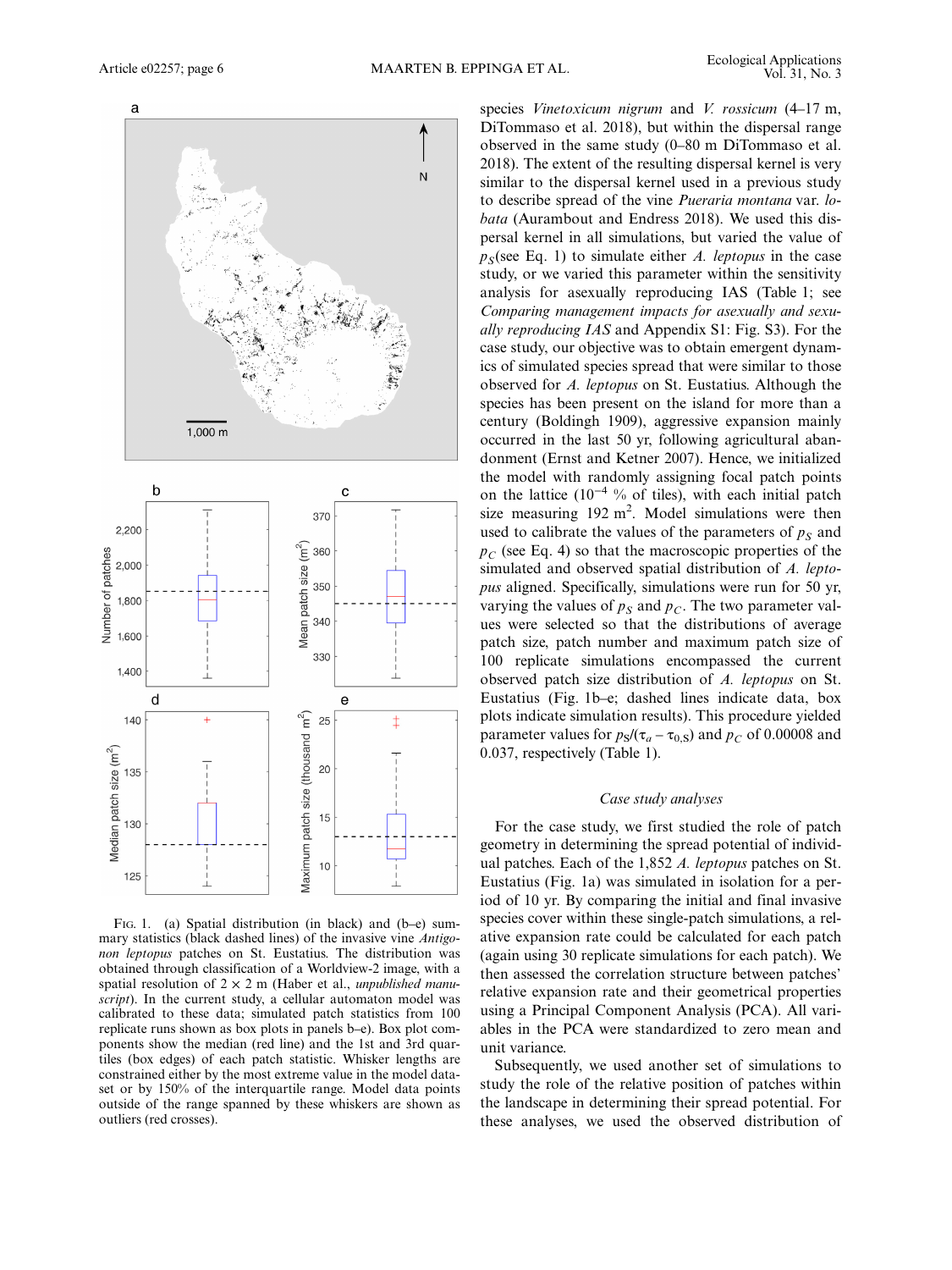

FIG. 1. (a) Spatial distribution (in black) and (b–e) summary statistics (black dashed lines) of the invasive vine Antigonon leptopus patches on St. Eustatius. The distribution was obtained through classification of a Worldview-2 image, with a spatial resolution of  $2 \times 2$  m (Haber et al., *unpublished manu*script). In the current study, a cellular automaton model was calibrated to these data; simulated patch statistics from 100 replicate runs shown as box plots in panels b–e). Box plot components show the median (red line) and the 1st and 3rd quartiles (box edges) of each patch statistic. Whisker lengths are constrained either by the most extreme value in the model dataset or by 150% of the interquartile range. Model data points outside of the range spanned by these whiskers are shown as outliers (red crosses).

species Vinetoxicum nigrum and V. rossicum (4–17 m, DiTommaso et al. 2018), but within the dispersal range observed in the same study (0–80 m DiTommaso et al. 2018). The extent of the resulting dispersal kernel is very similar to the dispersal kernel used in a previous study to describe spread of the vine Pueraria montana var. lobata (Aurambout and Endress 2018). We used this dispersal kernel in all simulations, but varied the value of  $p<sub>S</sub>$ (see Eq. 1) to simulate either A. leptopus in the case study, or we varied this parameter within the sensitivity analysis for asexually reproducing IAS (Table 1; see Comparing management impacts for asexually and sexually reproducing IAS and Appendix S1: Fig. S3). For the case study, our objective was to obtain emergent dynamics of simulated species spread that were similar to those observed for A. leptopus on St. Eustatius. Although the species has been present on the island for more than a century (Boldingh 1909), aggressive expansion mainly occurred in the last 50 yr, following agricultural abandonment (Ernst and Ketner 2007). Hence, we initialized the model with randomly assigning focal patch points on the lattice ( $10^{-4}$  % of tiles), with each initial patch size measuring  $192 \text{ m}^2$ . Model simulations were then used to calibrate the values of the parameters of  $p<sub>S</sub>$  and  $p<sub>C</sub>$  (see Eq. 4) so that the macroscopic properties of the simulated and observed spatial distribution of A. leptopus aligned. Specifically, simulations were run for 50 yr, varying the values of  $p_S$  and  $p_C$ . The two parameter values were selected so that the distributions of average patch size, patch number and maximum patch size of 100 replicate simulations encompassed the current observed patch size distribution of A. leptopus on St. Eustatius (Fig. 1b–e; dashed lines indicate data, box plots indicate simulation results). This procedure yielded parameter values for  $p_S/(\tau_a - \tau_{0,S})$  and  $p_C$  of 0.00008 and 0.037, respectively (Table 1).

## Case study analyses

For the case study, we first studied the role of patch geometry in determining the spread potential of individual patches. Each of the 1,852 A. leptopus patches on St. Eustatius (Fig. 1a) was simulated in isolation for a period of 10 yr. By comparing the initial and final invasive species cover within these single-patch simulations, a relative expansion rate could be calculated for each patch (again using 30 replicate simulations for each patch). We then assessed the correlation structure between patches' relative expansion rate and their geometrical properties using a Principal Component Analysis (PCA). All variables in the PCA were standardized to zero mean and unit variance.

Subsequently, we used another set of simulations to study the role of the relative position of patches within the landscape in determining their spread potential. For these analyses, we used the observed distribution of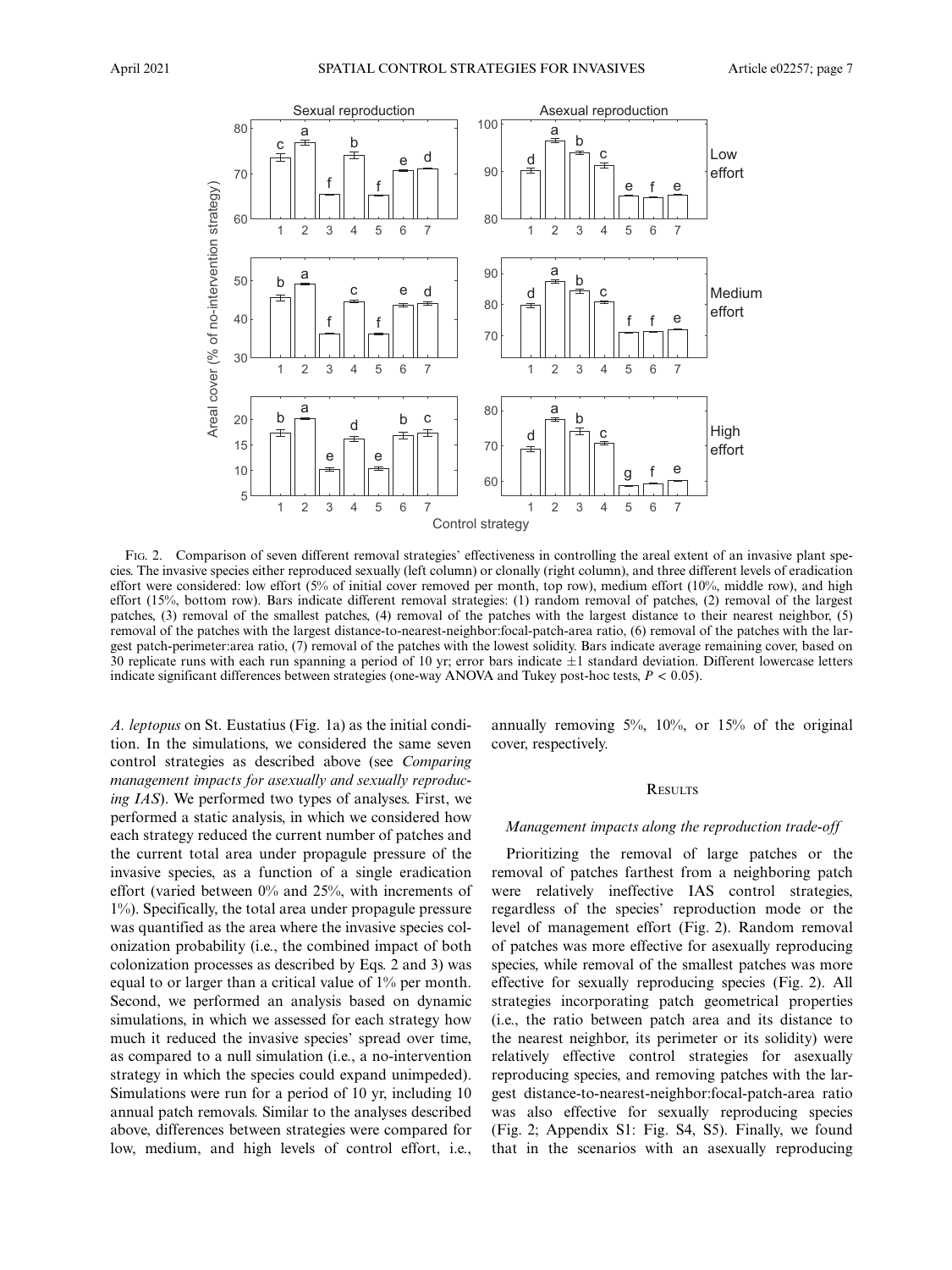

FIG. 2. Comparison of seven different removal strategies' effectiveness in controlling the areal extent of an invasive plant species. The invasive species either reproduced sexually (left column) or clonally (right column), and three different levels of eradication effort were considered: low effort (5% of initial cover removed per month, top row), medium effort (10%, middle row), and high effort (15%, bottom row). Bars indicate different removal strategies: (1) random removal of patches, (2) removal of the largest patches, (3) removal of the smallest patches, (4) removal of the patches with the largest distance to their nearest neighbor, (5) removal of the patches with the largest distance-to-nearest-neighbor:focal-patch-area ratio, (6) removal of the patches with the largest patch-perimeter:area ratio, (7) removal of the patches with the lowest solidity. Bars indicate average remaining cover, based on  $30$  replicate runs with each run spanning a period of 10 yr; error bars indicate  $\pm 1$  standard deviation. Different lowercase letters indicate significant differences between strategies (one-way ANOVA and Tukey post-hoc tests,  $P < 0.05$ ).

A. leptopus on St. Eustatius (Fig. 1a) as the initial condition. In the simulations, we considered the same seven control strategies as described above (see Comparing management impacts for asexually and sexually reproducing IAS). We performed two types of analyses. First, we performed a static analysis, in which we considered how each strategy reduced the current number of patches and the current total area under propagule pressure of the invasive species, as a function of a single eradication effort (varied between 0% and 25%, with increments of 1%). Specifically, the total area under propagule pressure was quantified as the area where the invasive species colonization probability (i.e., the combined impact of both colonization processes as described by Eqs. 2 and 3) was equal to or larger than a critical value of 1% per month. Second, we performed an analysis based on dynamic simulations, in which we assessed for each strategy how much it reduced the invasive species' spread over time, as compared to a null simulation (i.e., a no-intervention strategy in which the species could expand unimpeded). Simulations were run for a period of 10 yr, including 10 annual patch removals. Similar to the analyses described above, differences between strategies were compared for low, medium, and high levels of control effort, i.e., annually removing 5%, 10%, or 15% of the original cover, respectively.

#### **RESULTS**

#### Management impacts along the reproduction trade-off

Prioritizing the removal of large patches or the removal of patches farthest from a neighboring patch were relatively ineffective IAS control strategies, regardless of the species' reproduction mode or the level of management effort (Fig. 2). Random removal of patches was more effective for asexually reproducing species, while removal of the smallest patches was more effective for sexually reproducing species (Fig. 2). All strategies incorporating patch geometrical properties (i.e., the ratio between patch area and its distance to the nearest neighbor, its perimeter or its solidity) were relatively effective control strategies for asexually reproducing species, and removing patches with the largest distance-to-nearest-neighbor:focal-patch-area ratio was also effective for sexually reproducing species (Fig. 2; Appendix S1: Fig. S4, S5). Finally, we found that in the scenarios with an asexually reproducing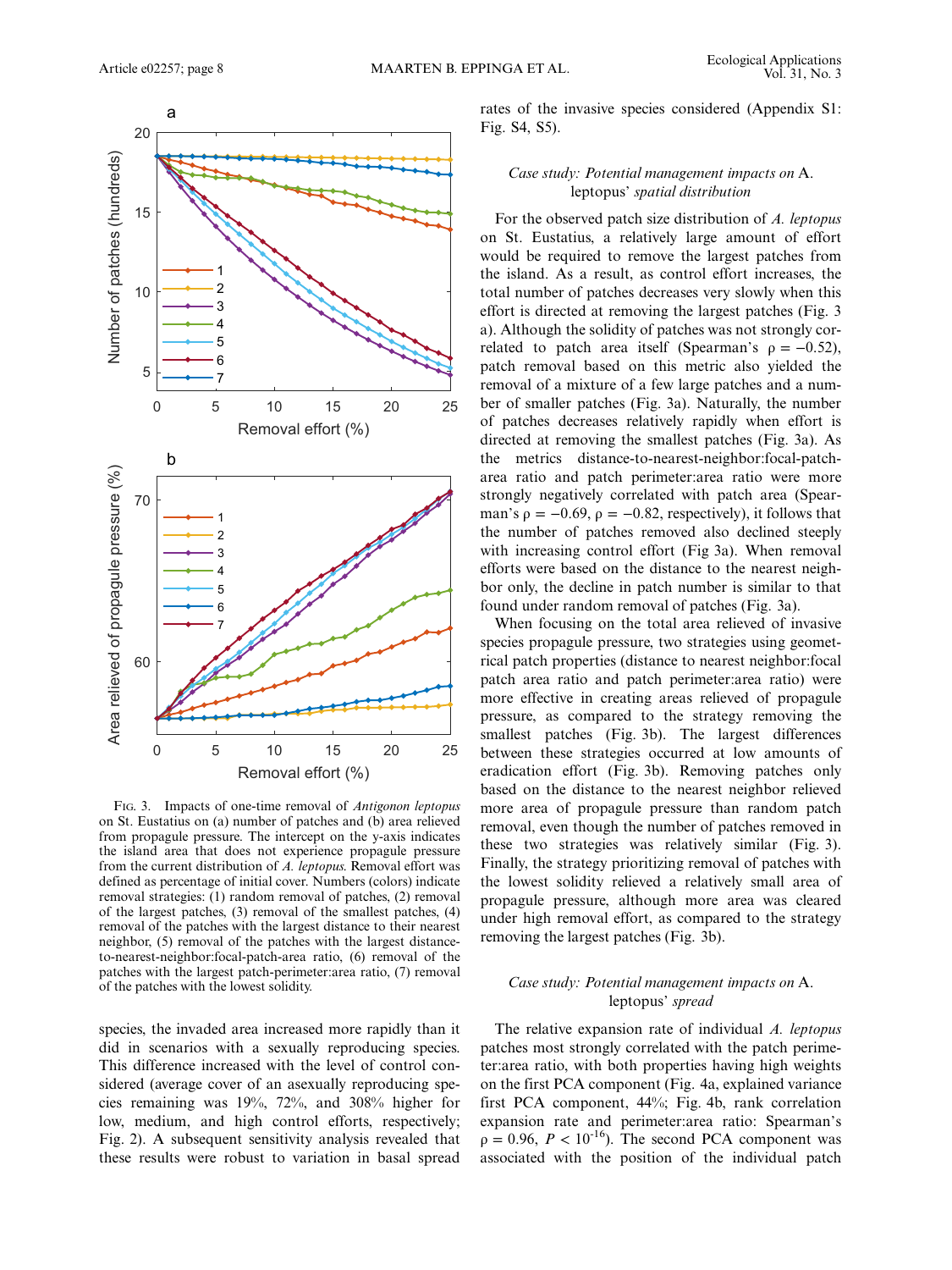

FIG. 3. Impacts of one-time removal of Antigonon leptopus on St. Eustatius on (a) number of patches and (b) area relieved from propagule pressure. The intercept on the y-axis indicates the island area that does not experience propagule pressure from the current distribution of A. leptopus. Removal effort was defined as percentage of initial cover. Numbers (colors) indicate removal strategies: (1) random removal of patches, (2) removal of the largest patches, (3) removal of the smallest patches, (4) removal of the patches with the largest distance to their nearest neighbor, (5) removal of the patches with the largest distanceto-nearest-neighbor:focal-patch-area ratio, (6) removal of the patches with the largest patch-perimeter:area ratio, (7) removal of the patches with the lowest solidity.

species, the invaded area increased more rapidly than it did in scenarios with a sexually reproducing species. This difference increased with the level of control considered (average cover of an asexually reproducing species remaining was 19%, 72%, and 308% higher for low, medium, and high control efforts, respectively; Fig. 2). A subsequent sensitivity analysis revealed that these results were robust to variation in basal spread rates of the invasive species considered (Appendix S1: Fig. S4, S5).

## Case study: Potential management impacts on A. leptopus' spatial distribution

For the observed patch size distribution of A. leptopus on St. Eustatius, a relatively large amount of effort would be required to remove the largest patches from the island. As a result, as control effort increases, the total number of patches decreases very slowly when this effort is directed at removing the largest patches (Fig. 3 a). Although the solidity of patches was not strongly correlated to patch area itself (Spearman's  $\rho = -0.52$ ), patch removal based on this metric also yielded the removal of a mixture of a few large patches and a number of smaller patches (Fig. 3a). Naturally, the number of patches decreases relatively rapidly when effort is directed at removing the smallest patches (Fig. 3a). As the metrics distance-to-nearest-neighbor:focal-patcharea ratio and patch perimeter:area ratio were more strongly negatively correlated with patch area (Spearman's  $\rho = -0.69$ ,  $\rho = -0.82$ , respectively), it follows that the number of patches removed also declined steeply with increasing control effort (Fig 3a). When removal efforts were based on the distance to the nearest neighbor only, the decline in patch number is similar to that found under random removal of patches (Fig. 3a).

When focusing on the total area relieved of invasive species propagule pressure, two strategies using geometrical patch properties (distance to nearest neighbor:focal patch area ratio and patch perimeter:area ratio) were more effective in creating areas relieved of propagule pressure, as compared to the strategy removing the smallest patches (Fig. 3b). The largest differences between these strategies occurred at low amounts of eradication effort (Fig. 3b). Removing patches only based on the distance to the nearest neighbor relieved more area of propagule pressure than random patch removal, even though the number of patches removed in these two strategies was relatively similar (Fig. 3). Finally, the strategy prioritizing removal of patches with the lowest solidity relieved a relatively small area of propagule pressure, although more area was cleared under high removal effort, as compared to the strategy removing the largest patches (Fig. 3b).

# Case study: Potential management impacts on A. leptopus' spread

The relative expansion rate of individual A. leptopus patches most strongly correlated with the patch perimeter:area ratio, with both properties having high weights on the first PCA component (Fig. 4a, explained variance first PCA component, 44%; Fig. 4b, rank correlation expansion rate and perimeter:area ratio: Spearman's  $\rho = 0.96$ ,  $P < 10^{-16}$ ). The second PCA component was associated with the position of the individual patch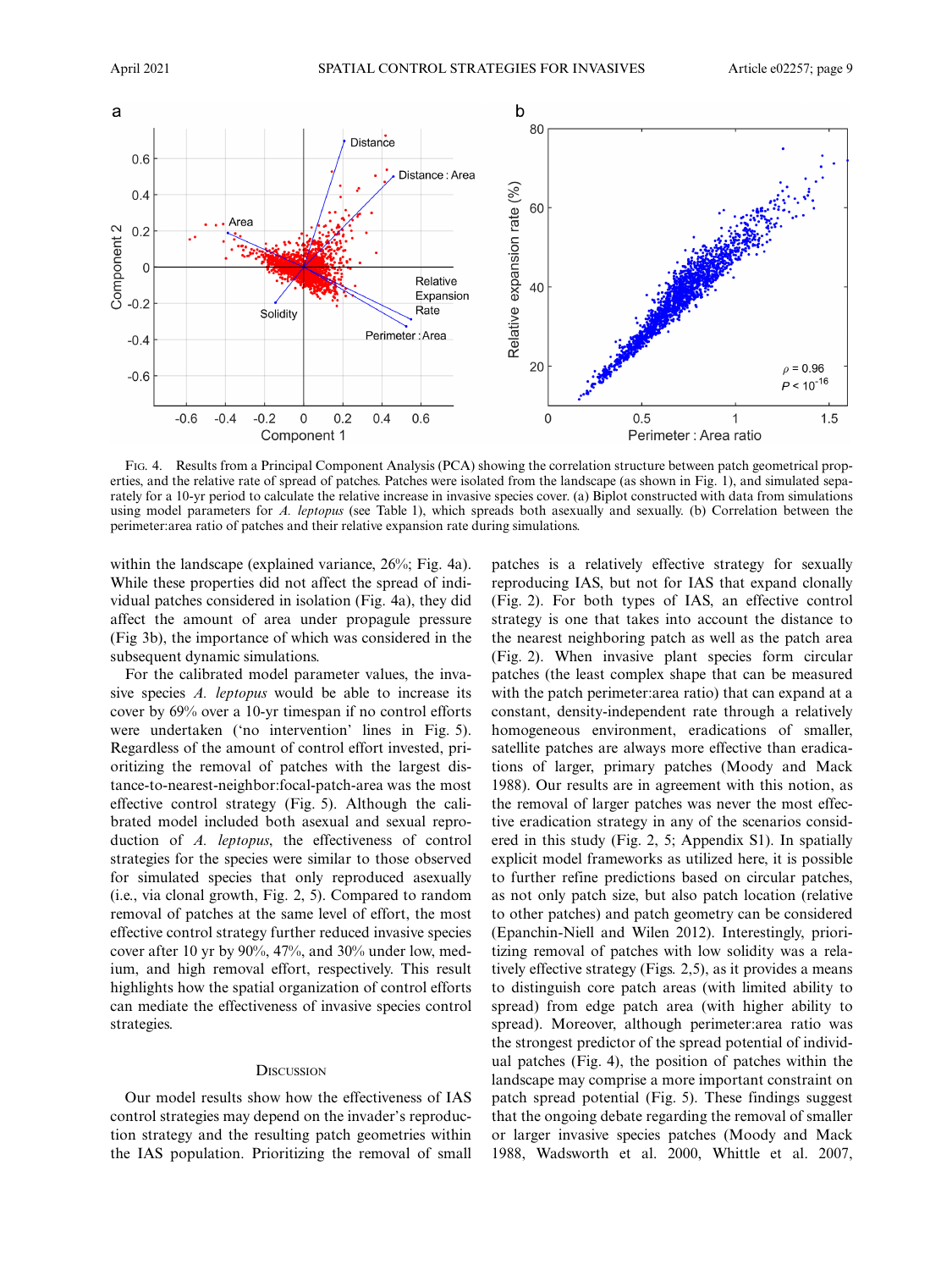

FIG. 4. Results from a Principal Component Analysis (PCA) showing the correlation structure between patch geometrical properties, and the relative rate of spread of patches. Patches were isolated from the landscape (as shown in Fig. 1), and simulated separately for a 10-yr period to calculate the relative increase in invasive species cover. (a) Biplot constructed with data from simulations using model parameters for A. leptopus (see Table 1), which spreads both asexually and sexually. (b) Correlation between the perimeter:area ratio of patches and their relative expansion rate during simulations.

within the landscape (explained variance, 26%; Fig. 4a). While these properties did not affect the spread of individual patches considered in isolation (Fig. 4a), they did affect the amount of area under propagule pressure (Fig 3b), the importance of which was considered in the subsequent dynamic simulations.

For the calibrated model parameter values, the invasive species A. leptopus would be able to increase its cover by 69% over a 10-yr timespan if no control efforts were undertaken ('no intervention' lines in Fig. 5). Regardless of the amount of control effort invested, prioritizing the removal of patches with the largest distance-to-nearest-neighbor:focal-patch-area was the most effective control strategy (Fig. 5). Although the calibrated model included both asexual and sexual reproduction of A. leptopus, the effectiveness of control strategies for the species were similar to those observed for simulated species that only reproduced asexually (i.e., via clonal growth, Fig. 2, 5). Compared to random removal of patches at the same level of effort, the most effective control strategy further reduced invasive species cover after 10 yr by 90%, 47%, and 30% under low, medium, and high removal effort, respectively. This result highlights how the spatial organization of control efforts can mediate the effectiveness of invasive species control strategies.

#### **DISCUSSION**

Our model results show how the effectiveness of IAS control strategies may depend on the invader's reproduction strategy and the resulting patch geometries within the IAS population. Prioritizing the removal of small

patches is a relatively effective strategy for sexually reproducing IAS, but not for IAS that expand clonally (Fig. 2). For both types of IAS, an effective control strategy is one that takes into account the distance to the nearest neighboring patch as well as the patch area (Fig. 2). When invasive plant species form circular patches (the least complex shape that can be measured with the patch perimeter:area ratio) that can expand at a constant, density-independent rate through a relatively homogeneous environment, eradications of smaller, satellite patches are always more effective than eradications of larger, primary patches (Moody and Mack 1988). Our results are in agreement with this notion, as the removal of larger patches was never the most effective eradication strategy in any of the scenarios considered in this study (Fig. 2, 5; Appendix S1). In spatially explicit model frameworks as utilized here, it is possible to further refine predictions based on circular patches, as not only patch size, but also patch location (relative to other patches) and patch geometry can be considered (Epanchin-Niell and Wilen 2012). Interestingly, prioritizing removal of patches with low solidity was a relatively effective strategy (Figs. 2,5), as it provides a means to distinguish core patch areas (with limited ability to spread) from edge patch area (with higher ability to spread). Moreover, although perimeter:area ratio was the strongest predictor of the spread potential of individual patches (Fig. 4), the position of patches within the landscape may comprise a more important constraint on patch spread potential (Fig. 5). These findings suggest that the ongoing debate regarding the removal of smaller or larger invasive species patches (Moody and Mack 1988, Wadsworth et al. 2000, Whittle et al. 2007,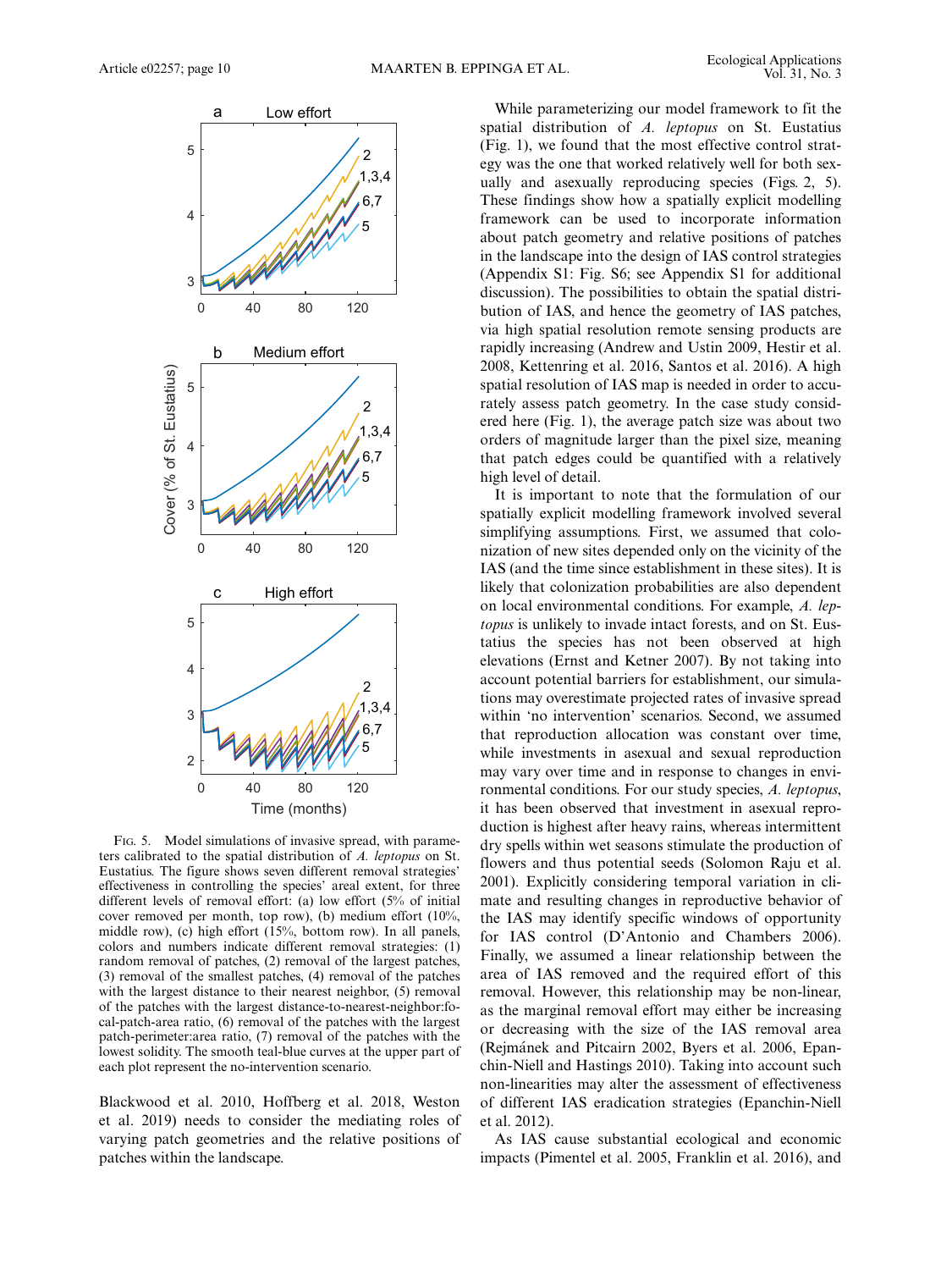

FIG. 5. Model simulations of invasive spread, with parameters calibrated to the spatial distribution of A. leptopus on St. Eustatius. The figure shows seven different removal strategies' effectiveness in controlling the species' areal extent, for three different levels of removal effort: (a) low effort (5% of initial cover removed per month, top row), (b) medium effort (10%, middle row), (c) high effort (15%, bottom row). In all panels, colors and numbers indicate different removal strategies: (1) random removal of patches, (2) removal of the largest patches, (3) removal of the smallest patches, (4) removal of the patches with the largest distance to their nearest neighbor, (5) removal of the patches with the largest distance-to-nearest-neighbor:focal-patch-area ratio, (6) removal of the patches with the largest patch-perimeter:area ratio, (7) removal of the patches with the lowest solidity. The smooth teal-blue curves at the upper part of each plot represent the no-intervention scenario.

Blackwood et al. 2010, Hoffberg et al. 2018, Weston et al. 2019) needs to consider the mediating roles of varying patch geometries and the relative positions of patches within the landscape.

While parameterizing our model framework to fit the spatial distribution of A. leptopus on St. Eustatius (Fig. 1), we found that the most effective control strategy was the one that worked relatively well for both sexually and asexually reproducing species (Figs. 2, 5). These findings show how a spatially explicit modelling framework can be used to incorporate information about patch geometry and relative positions of patches in the landscape into the design of IAS control strategies (Appendix S1: Fig. S6; see Appendix S1 for additional discussion). The possibilities to obtain the spatial distribution of IAS, and hence the geometry of IAS patches, via high spatial resolution remote sensing products are rapidly increasing (Andrew and Ustin 2009, Hestir et al. 2008, Kettenring et al. 2016, Santos et al. 2016). A high spatial resolution of IAS map is needed in order to accurately assess patch geometry. In the case study considered here (Fig. 1), the average patch size was about two orders of magnitude larger than the pixel size, meaning that patch edges could be quantified with a relatively high level of detail.

It is important to note that the formulation of our spatially explicit modelling framework involved several simplifying assumptions. First, we assumed that colonization of new sites depended only on the vicinity of the IAS (and the time since establishment in these sites). It is likely that colonization probabilities are also dependent on local environmental conditions. For example, A. leptopus is unlikely to invade intact forests, and on St. Eustatius the species has not been observed at high elevations (Ernst and Ketner 2007). By not taking into account potential barriers for establishment, our simulations may overestimate projected rates of invasive spread within 'no intervention' scenarios. Second, we assumed that reproduction allocation was constant over time, while investments in asexual and sexual reproduction may vary over time and in response to changes in environmental conditions. For our study species, A. leptopus, it has been observed that investment in asexual reproduction is highest after heavy rains, whereas intermittent dry spells within wet seasons stimulate the production of flowers and thus potential seeds (Solomon Raju et al. 2001). Explicitly considering temporal variation in climate and resulting changes in reproductive behavior of the IAS may identify specific windows of opportunity for IAS control (D'Antonio and Chambers 2006). Finally, we assumed a linear relationship between the area of IAS removed and the required effort of this removal. However, this relationship may be non-linear, as the marginal removal effort may either be increasing or decreasing with the size of the IAS removal area (Rejmánek and Pitcairn 2002, Byers et al. 2006, Epanchin-Niell and Hastings 2010). Taking into account such non-linearities may alter the assessment of effectiveness of different IAS eradication strategies (Epanchin-Niell et al. 2012).

As IAS cause substantial ecological and economic impacts (Pimentel et al. 2005, Franklin et al. 2016), and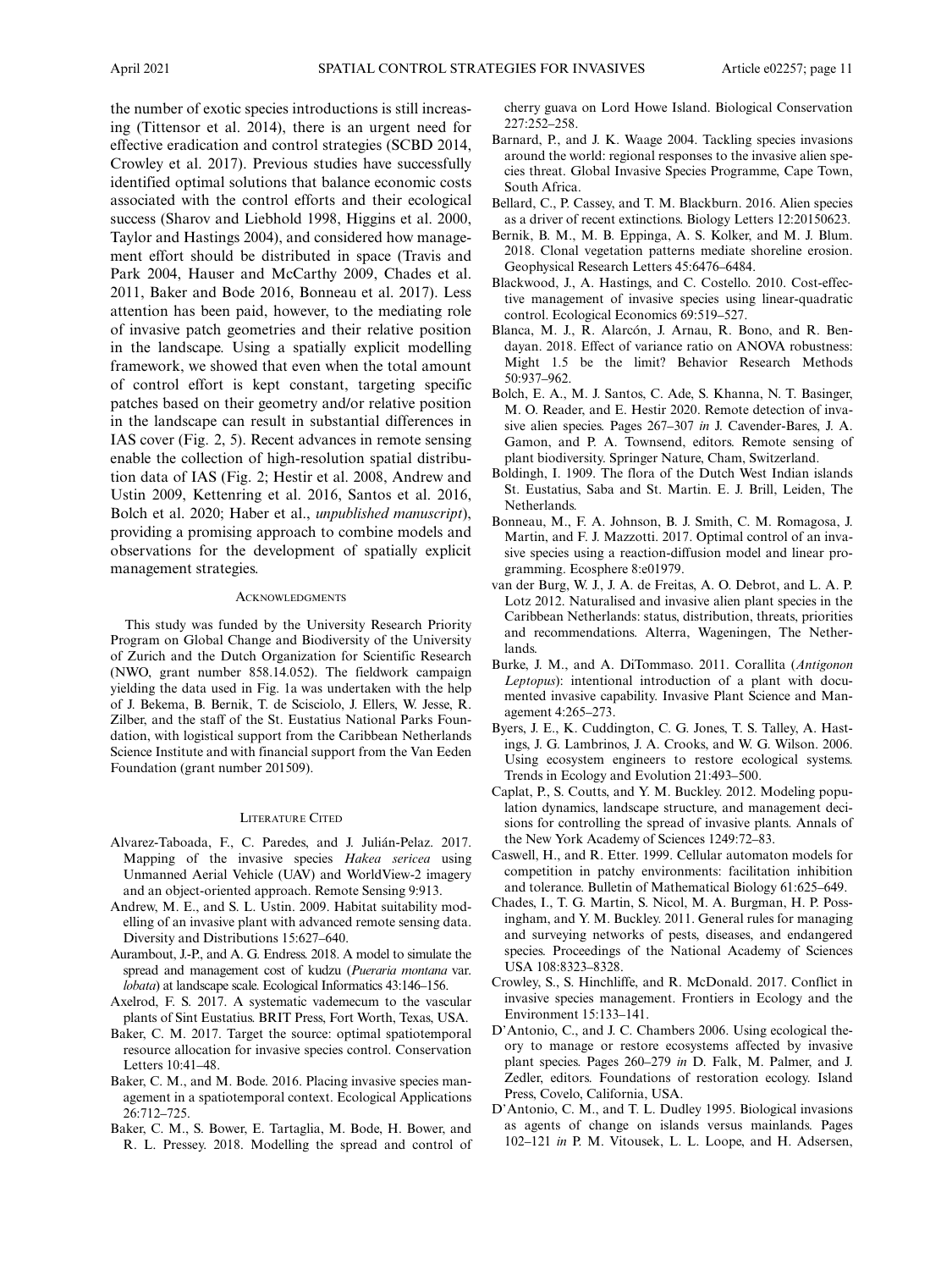the number of exotic species introductions is still increasing (Tittensor et al. 2014), there is an urgent need for effective eradication and control strategies (SCBD 2014, Crowley et al. 2017). Previous studies have successfully identified optimal solutions that balance economic costs associated with the control efforts and their ecological success (Sharov and Liebhold 1998, Higgins et al. 2000, Taylor and Hastings 2004), and considered how management effort should be distributed in space (Travis and Park 2004, Hauser and McCarthy 2009, Chades et al. 2011, Baker and Bode 2016, Bonneau et al. 2017). Less attention has been paid, however, to the mediating role of invasive patch geometries and their relative position in the landscape. Using a spatially explicit modelling framework, we showed that even when the total amount of control effort is kept constant, targeting specific patches based on their geometry and/or relative position in the landscape can result in substantial differences in IAS cover (Fig. 2, 5). Recent advances in remote sensing enable the collection of high-resolution spatial distribution data of IAS (Fig. 2; Hestir et al. 2008, Andrew and Ustin 2009, Kettenring et al. 2016, Santos et al. 2016, Bolch et al. 2020; Haber et al., unpublished manuscript), providing a promising approach to combine models and observations for the development of spatially explicit management strategies.

#### **ACKNOWLEDGMENTS**

This study was funded by the University Research Priority Program on Global Change and Biodiversity of the University of Zurich and the Dutch Organization for Scientific Research (NWO, grant number 858.14.052). The fieldwork campaign yielding the data used in Fig. 1a was undertaken with the help of J. Bekema, B. Bernik, T. de Scisciolo, J. Ellers, W. Jesse, R. Zilber, and the staff of the St. Eustatius National Parks Foundation, with logistical support from the Caribbean Netherlands Science Institute and with financial support from the Van Eeden Foundation (grant number 201509).

## LITERATURE CITED

- Alvarez-Taboada, F., C. Paredes, and J. Julián-Pelaz. 2017. Mapping of the invasive species Hakea sericea using Unmanned Aerial Vehicle (UAV) and WorldView-2 imagery and an object-oriented approach. Remote Sensing 9:913.
- Andrew, M. E., and S. L. Ustin. 2009. Habitat suitability modelling of an invasive plant with advanced remote sensing data. Diversity and Distributions 15:627–640.
- Aurambout, J.-P., and A. G. Endress. 2018. A model to simulate the spread and management cost of kudzu (Pueraria montana var. lobata) at landscape scale. Ecological Informatics 43:146–156.
- Axelrod, F. S. 2017. A systematic vademecum to the vascular plants of Sint Eustatius. BRIT Press, Fort Worth, Texas, USA.
- Baker, C. M. 2017. Target the source: optimal spatiotemporal resource allocation for invasive species control. Conservation Letters 10:41–48.
- Baker, C. M., and M. Bode. 2016. Placing invasive species management in a spatiotemporal context. Ecological Applications 26:712–725.
- Baker, C. M., S. Bower, E. Tartaglia, M. Bode, H. Bower, and R. L. Pressey. 2018. Modelling the spread and control of

cherry guava on Lord Howe Island. Biological Conservation 227:252–258.

- Barnard, P., and J. K. Waage 2004. Tackling species invasions around the world: regional responses to the invasive alien species threat. Global Invasive Species Programme, Cape Town, South Africa.
- Bellard, C., P. Cassey, and T. M. Blackburn. 2016. Alien species as a driver of recent extinctions. Biology Letters 12:20150623.
- Bernik, B. M., M. B. Eppinga, A. S. Kolker, and M. J. Blum. 2018. Clonal vegetation patterns mediate shoreline erosion. Geophysical Research Letters 45:6476–6484.
- Blackwood, J., A. Hastings, and C. Costello. 2010. Cost-effective management of invasive species using linear-quadratic control. Ecological Economics 69:519–527.
- Blanca, M. J., R. Alarcón, J. Arnau, R. Bono, and R. Bendayan. 2018. Effect of variance ratio on ANOVA robustness: Might 1.5 be the limit? Behavior Research Methods 50:937–962.
- Bolch, E. A., M. J. Santos, C. Ade, S. Khanna, N. T. Basinger, M. O. Reader, and E. Hestir 2020. Remote detection of invasive alien species. Pages 267–307 in J. Cavender-Bares, J. A. Gamon, and P. A. Townsend, editors. Remote sensing of plant biodiversity. Springer Nature, Cham, Switzerland.
- Boldingh, I. 1909. The flora of the Dutch West Indian islands St. Eustatius, Saba and St. Martin. E. J. Brill, Leiden, The Netherlands.
- Bonneau, M., F. A. Johnson, B. J. Smith, C. M. Romagosa, J. Martin, and F. J. Mazzotti. 2017. Optimal control of an invasive species using a reaction-diffusion model and linear programming. Ecosphere 8:e01979.
- van der Burg, W. J., J. A. de Freitas, A. O. Debrot, and L. A. P. Lotz 2012. Naturalised and invasive alien plant species in the Caribbean Netherlands: status, distribution, threats, priorities and recommendations. Alterra, Wageningen, The Netherlands.
- Burke, J. M., and A. DiTommaso. 2011. Corallita (Antigonon Leptopus): intentional introduction of a plant with documented invasive capability. Invasive Plant Science and Management 4:265–273.
- Byers, J. E., K. Cuddington, C. G. Jones, T. S. Talley, A. Hastings, J. G. Lambrinos, J. A. Crooks, and W. G. Wilson. 2006. Using ecosystem engineers to restore ecological systems. Trends in Ecology and Evolution 21:493–500.
- Caplat, P., S. Coutts, and Y. M. Buckley. 2012. Modeling population dynamics, landscape structure, and management decisions for controlling the spread of invasive plants. Annals of the New York Academy of Sciences 1249:72–83.
- Caswell, H., and R. Etter. 1999. Cellular automaton models for competition in patchy environments: facilitation inhibition and tolerance. Bulletin of Mathematical Biology 61:625–649.
- Chades, I., T. G. Martin, S. Nicol, M. A. Burgman, H. P. Possingham, and Y. M. Buckley. 2011. General rules for managing and surveying networks of pests, diseases, and endangered species. Proceedings of the National Academy of Sciences USA 108:8323–8328.
- Crowley, S., S. Hinchliffe, and R. McDonald. 2017. Conflict in invasive species management. Frontiers in Ecology and the Environment 15:133–141.
- D'Antonio, C., and J. C. Chambers 2006. Using ecological theory to manage or restore ecosystems affected by invasive plant species. Pages 260–279 in D. Falk, M. Palmer, and J. Zedler, editors. Foundations of restoration ecology. Island Press, Covelo, California, USA.
- D'Antonio, C. M., and T. L. Dudley 1995. Biological invasions as agents of change on islands versus mainlands. Pages 102–121 in P. M. Vitousek, L. L. Loope, and H. Adsersen,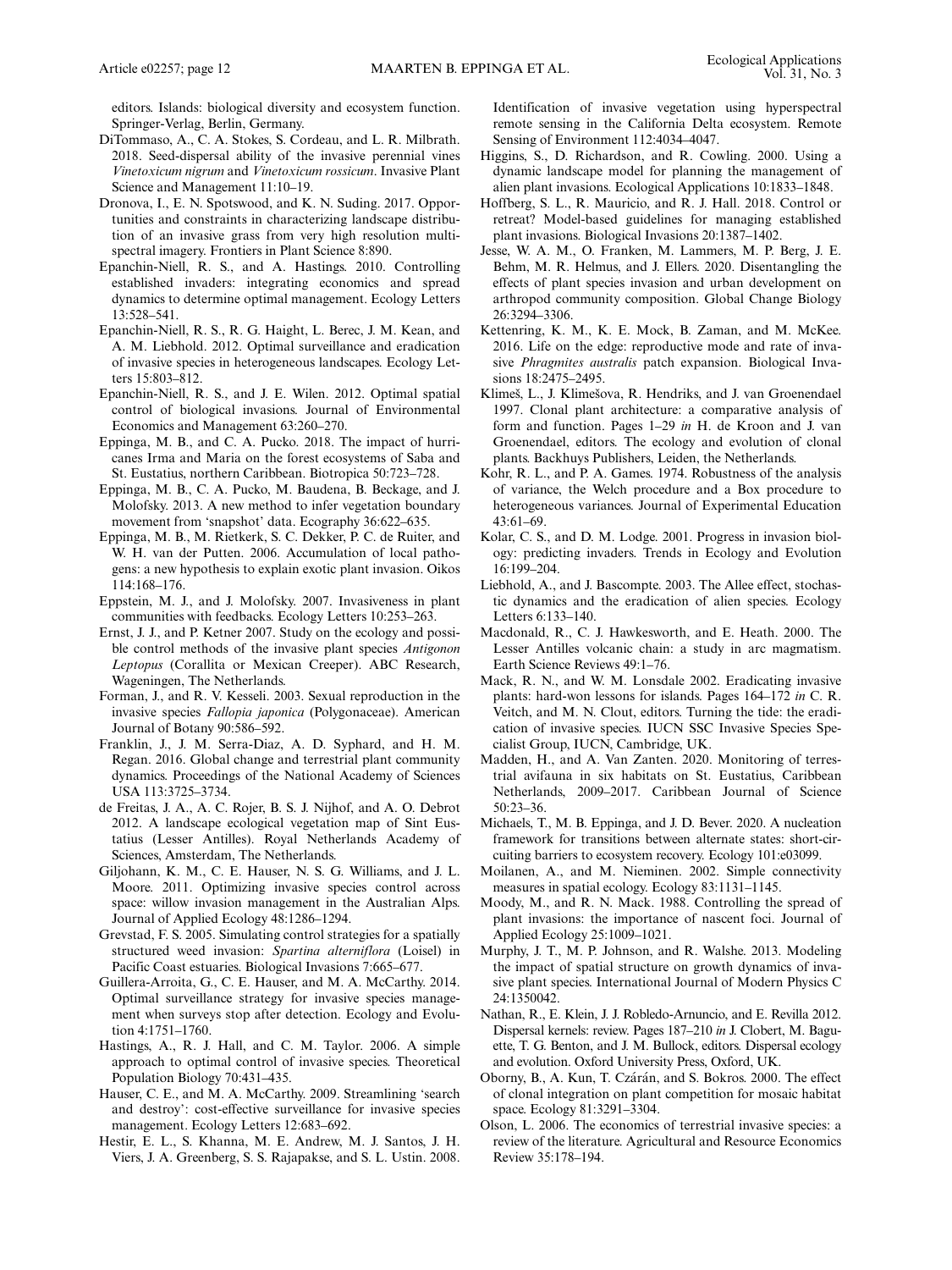editors. Islands: biological diversity and ecosystem function. Springer-Verlag, Berlin, Germany.

- DiTommaso, A., C. A. Stokes, S. Cordeau, and L. R. Milbrath. 2018. Seed-dispersal ability of the invasive perennial vines Vinetoxicum nigrum and Vinetoxicum rossicum. Invasive Plant Science and Management 11:10–19.
- Dronova, I., E. N. Spotswood, and K. N. Suding. 2017. Opportunities and constraints in characterizing landscape distribution of an invasive grass from very high resolution multispectral imagery. Frontiers in Plant Science 8:890.
- Epanchin-Niell, R. S., and A. Hastings. 2010. Controlling established invaders: integrating economics and spread dynamics to determine optimal management. Ecology Letters 13:528–541.
- Epanchin-Niell, R. S., R. G. Haight, L. Berec, J. M. Kean, and A. M. Liebhold. 2012. Optimal surveillance and eradication of invasive species in heterogeneous landscapes. Ecology Letters 15:803–812.
- Epanchin-Niell, R. S., and J. E. Wilen. 2012. Optimal spatial control of biological invasions. Journal of Environmental Economics and Management 63:260–270.
- Eppinga, M. B., and C. A. Pucko. 2018. The impact of hurricanes Irma and Maria on the forest ecosystems of Saba and St. Eustatius, northern Caribbean. Biotropica 50:723–728.
- Eppinga, M. B., C. A. Pucko, M. Baudena, B. Beckage, and J. Molofsky. 2013. A new method to infer vegetation boundary movement from 'snapshot' data. Ecography 36:622–635.
- Eppinga, M. B., M. Rietkerk, S. C. Dekker, P. C. de Ruiter, and W. H. van der Putten. 2006. Accumulation of local pathogens: a new hypothesis to explain exotic plant invasion. Oikos 114:168–176.
- Eppstein, M. J., and J. Molofsky. 2007. Invasiveness in plant communities with feedbacks. Ecology Letters 10:253–263.
- Ernst, J. J., and P. Ketner 2007. Study on the ecology and possible control methods of the invasive plant species Antigonon Leptopus (Corallita or Mexican Creeper). ABC Research, Wageningen, The Netherlands.
- Forman, J., and R. V. Kesseli. 2003. Sexual reproduction in the invasive species Fallopia japonica (Polygonaceae). American Journal of Botany 90:586–592.
- Franklin, J., J. M. Serra-Diaz, A. D. Syphard, and H. M. Regan. 2016. Global change and terrestrial plant community dynamics. Proceedings of the National Academy of Sciences USA 113:3725–3734.
- de Freitas, J. A., A. C. Rojer, B. S. J. Nijhof, and A. O. Debrot 2012. A landscape ecological vegetation map of Sint Eustatius (Lesser Antilles). Royal Netherlands Academy of Sciences, Amsterdam, The Netherlands.
- Giljohann, K. M., C. E. Hauser, N. S. G. Williams, and J. L. Moore. 2011. Optimizing invasive species control across space: willow invasion management in the Australian Alps. Journal of Applied Ecology 48:1286–1294.
- Grevstad, F. S. 2005. Simulating control strategies for a spatially structured weed invasion: Spartina alterniflora (Loisel) in Pacific Coast estuaries. Biological Invasions 7:665–677.
- Guillera-Arroita, G., C. E. Hauser, and M. A. McCarthy. 2014. Optimal surveillance strategy for invasive species management when surveys stop after detection. Ecology and Evolution 4:1751–1760.
- Hastings, A., R. J. Hall, and C. M. Taylor. 2006. A simple approach to optimal control of invasive species. Theoretical Population Biology 70:431–435.
- Hauser, C. E., and M. A. McCarthy. 2009. Streamlining 'search and destroy': cost-effective surveillance for invasive species management. Ecology Letters 12:683–692.
- Hestir, E. L., S. Khanna, M. E. Andrew, M. J. Santos, J. H. Viers, J. A. Greenberg, S. S. Rajapakse, and S. L. Ustin. 2008.

Identification of invasive vegetation using hyperspectral remote sensing in the California Delta ecosystem. Remote Sensing of Environment 112:4034–4047.

- Higgins, S., D. Richardson, and R. Cowling. 2000. Using a dynamic landscape model for planning the management of alien plant invasions. Ecological Applications 10:1833–1848.
- Hoffberg, S. L., R. Mauricio, and R. J. Hall. 2018. Control or retreat? Model-based guidelines for managing established plant invasions. Biological Invasions 20:1387–1402.
- Jesse, W. A. M., O. Franken, M. Lammers, M. P. Berg, J. E. Behm, M. R. Helmus, and J. Ellers. 2020. Disentangling the effects of plant species invasion and urban development on arthropod community composition. Global Change Biology 26:3294–3306.
- Kettenring, K. M., K. E. Mock, B. Zaman, and M. McKee. 2016. Life on the edge: reproductive mode and rate of invasive Phragmites australis patch expansion. Biological Invasions 18:2475–2495.
- Klimeš, L., J. Klimešova, R. Hendriks, and J. van Groenendael 1997. Clonal plant architecture: a comparative analysis of form and function. Pages 1–29 in H. de Kroon and J. van Groenendael, editors. The ecology and evolution of clonal plants. Backhuys Publishers, Leiden, the Netherlands.
- Kohr, R. L., and P. A. Games. 1974. Robustness of the analysis of variance, the Welch procedure and a Box procedure to heterogeneous variances. Journal of Experimental Education 43:61–69.
- Kolar, C. S., and D. M. Lodge. 2001. Progress in invasion biology: predicting invaders. Trends in Ecology and Evolution 16:199–204.
- Liebhold, A., and J. Bascompte. 2003. The Allee effect, stochastic dynamics and the eradication of alien species. Ecology Letters 6:133–140.
- Macdonald, R., C. J. Hawkesworth, and E. Heath. 2000. The Lesser Antilles volcanic chain: a study in arc magmatism. Earth Science Reviews 49:1–76.
- Mack, R. N., and W. M. Lonsdale 2002. Eradicating invasive plants: hard-won lessons for islands. Pages 164–172 in C. R. Veitch, and M. N. Clout, editors. Turning the tide: the eradication of invasive species. IUCN SSC Invasive Species Specialist Group, IUCN, Cambridge, UK.
- Madden, H., and A. Van Zanten. 2020. Monitoring of terrestrial avifauna in six habitats on St. Eustatius, Caribbean Netherlands, 2009–2017. Caribbean Journal of Science 50:23–36.
- Michaels, T., M. B. Eppinga, and J. D. Bever. 2020. A nucleation framework for transitions between alternate states: short-circuiting barriers to ecosystem recovery. Ecology 101:e03099.
- Moilanen, A., and M. Nieminen. 2002. Simple connectivity measures in spatial ecology. Ecology 83:1131–1145.
- Moody, M., and R. N. Mack. 1988. Controlling the spread of plant invasions: the importance of nascent foci. Journal of Applied Ecology 25:1009–1021.
- Murphy, J. T., M. P. Johnson, and R. Walshe. 2013. Modeling the impact of spatial structure on growth dynamics of invasive plant species. International Journal of Modern Physics C 24:1350042.
- Nathan, R., E. Klein, J. J. Robledo-Arnuncio, and E. Revilla 2012. Dispersal kernels: review. Pages 187–210 in J. Clobert, M. Baguette, T. G. Benton, and J. M. Bullock, editors. Dispersal ecology and evolution. Oxford University Press, Oxford, UK.
- Oborny, B., A. Kun, T. Czárán, and S. Bokros. 2000. The effect of clonal integration on plant competition for mosaic habitat space. Ecology 81:3291–3304.
- Olson, L. 2006. The economics of terrestrial invasive species: a review of the literature. Agricultural and Resource Economics Review 35:178–194.